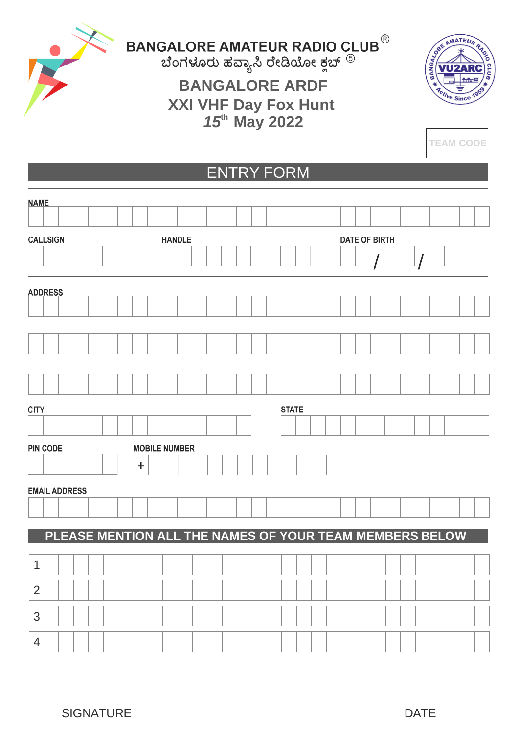

BANGALORE AMATEUR RADIO CLUB<sup>®</sup><br>ಬೆಂಗಳೂರು ಹೆವ್ಯಾಸಿ ರೇಡಿಯೋ ಕ್ಲಬ್ <sup>®</sup>

## **BANGALORE ARDF XXI VHF Day Fox Hunt** *15***th May 2022**



**TEAM CODE**

## ENTRY FORM

| <b>NAME</b>          |                 |  |  |  |  |  |       |               |                      |  |  |  |  |  |  |  |                                                         |  |  |                      |  |  |  |  |  |  |  |  |  |  |
|----------------------|-----------------|--|--|--|--|--|-------|---------------|----------------------|--|--|--|--|--|--|--|---------------------------------------------------------|--|--|----------------------|--|--|--|--|--|--|--|--|--|--|
|                      |                 |  |  |  |  |  |       |               |                      |  |  |  |  |  |  |  |                                                         |  |  |                      |  |  |  |  |  |  |  |  |  |  |
| <b>CALLSIGN</b>      |                 |  |  |  |  |  |       | <b>HANDLE</b> |                      |  |  |  |  |  |  |  |                                                         |  |  | <b>DATE OF BIRTH</b> |  |  |  |  |  |  |  |  |  |  |
|                      |                 |  |  |  |  |  |       |               |                      |  |  |  |  |  |  |  |                                                         |  |  |                      |  |  |  |  |  |  |  |  |  |  |
|                      |                 |  |  |  |  |  |       |               |                      |  |  |  |  |  |  |  |                                                         |  |  |                      |  |  |  |  |  |  |  |  |  |  |
| <b>ADDRESS</b>       |                 |  |  |  |  |  |       |               |                      |  |  |  |  |  |  |  |                                                         |  |  |                      |  |  |  |  |  |  |  |  |  |  |
|                      |                 |  |  |  |  |  |       |               |                      |  |  |  |  |  |  |  |                                                         |  |  |                      |  |  |  |  |  |  |  |  |  |  |
|                      |                 |  |  |  |  |  |       |               |                      |  |  |  |  |  |  |  |                                                         |  |  |                      |  |  |  |  |  |  |  |  |  |  |
|                      |                 |  |  |  |  |  |       |               |                      |  |  |  |  |  |  |  |                                                         |  |  |                      |  |  |  |  |  |  |  |  |  |  |
|                      |                 |  |  |  |  |  |       |               |                      |  |  |  |  |  |  |  |                                                         |  |  |                      |  |  |  |  |  |  |  |  |  |  |
|                      |                 |  |  |  |  |  |       |               |                      |  |  |  |  |  |  |  |                                                         |  |  |                      |  |  |  |  |  |  |  |  |  |  |
| <b>CITY</b>          |                 |  |  |  |  |  |       |               |                      |  |  |  |  |  |  |  | <b>STATE</b>                                            |  |  |                      |  |  |  |  |  |  |  |  |  |  |
|                      |                 |  |  |  |  |  |       |               |                      |  |  |  |  |  |  |  |                                                         |  |  |                      |  |  |  |  |  |  |  |  |  |  |
|                      |                 |  |  |  |  |  |       |               |                      |  |  |  |  |  |  |  |                                                         |  |  |                      |  |  |  |  |  |  |  |  |  |  |
|                      | <b>PIN CODE</b> |  |  |  |  |  |       |               | <b>MOBILE NUMBER</b> |  |  |  |  |  |  |  |                                                         |  |  |                      |  |  |  |  |  |  |  |  |  |  |
|                      |                 |  |  |  |  |  | $\pm$ |               |                      |  |  |  |  |  |  |  |                                                         |  |  |                      |  |  |  |  |  |  |  |  |  |  |
| <b>EMAIL ADDRESS</b> |                 |  |  |  |  |  |       |               |                      |  |  |  |  |  |  |  |                                                         |  |  |                      |  |  |  |  |  |  |  |  |  |  |
|                      |                 |  |  |  |  |  |       |               |                      |  |  |  |  |  |  |  |                                                         |  |  |                      |  |  |  |  |  |  |  |  |  |  |
|                      |                 |  |  |  |  |  |       |               |                      |  |  |  |  |  |  |  | PLEASE MENTION ALL THE NAMES OF YOUR TEAM MEMBERS BELOW |  |  |                      |  |  |  |  |  |  |  |  |  |  |
|                      |                 |  |  |  |  |  |       |               |                      |  |  |  |  |  |  |  |                                                         |  |  |                      |  |  |  |  |  |  |  |  |  |  |
| 1                    |                 |  |  |  |  |  |       |               |                      |  |  |  |  |  |  |  |                                                         |  |  |                      |  |  |  |  |  |  |  |  |  |  |
| $\overline{2}$       |                 |  |  |  |  |  |       |               |                      |  |  |  |  |  |  |  |                                                         |  |  |                      |  |  |  |  |  |  |  |  |  |  |
|                      |                 |  |  |  |  |  |       |               |                      |  |  |  |  |  |  |  |                                                         |  |  |                      |  |  |  |  |  |  |  |  |  |  |
| 3                    |                 |  |  |  |  |  |       |               |                      |  |  |  |  |  |  |  |                                                         |  |  |                      |  |  |  |  |  |  |  |  |  |  |
| 4                    |                 |  |  |  |  |  |       |               |                      |  |  |  |  |  |  |  |                                                         |  |  |                      |  |  |  |  |  |  |  |  |  |  |
|                      |                 |  |  |  |  |  |       |               |                      |  |  |  |  |  |  |  |                                                         |  |  |                      |  |  |  |  |  |  |  |  |  |  |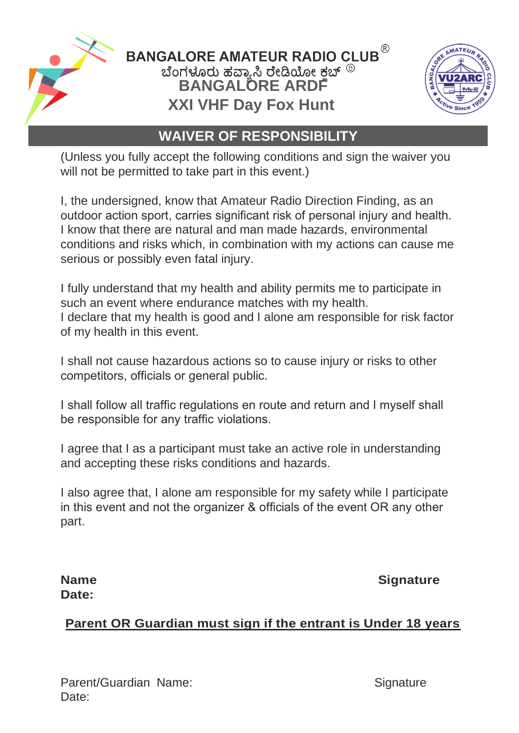

 $\mathsf{\mathsf{BANGALOREAMATEUR}\;RADIO\;CLUB}^\circledR$ ಬೆಂಗಳೂರು ಹವ್ಯಾಸಿ ರೇಡಿಯೋ ಕಬ್ <sup>®</sup><br>BANGALORE ARDF **XXI VHF Day Fox Hunt**



## **WAIVER OF RESPONSIBILITY**

(Unless you fully accept the following conditions and sign the waiver you will not be permitted to take part in this event.)

I, the undersigned, know that Amateur Radio Direction Finding, as an outdoor action sport, carries significant risk of personal injury and health. I know that there are natural and man made hazards, environmental conditions and risks which, in combination with my actions can cause me serious or possibly even fatal injury.

I fully understand that my health and ability permits me to participate in such an event where endurance matches with my health. I declare that my health is good and I alone am responsible for risk factor of my health in this event.

I shall not cause hazardous actions so to cause injury or risks to other competitors, officials or general public.

I shall follow all traffic regulations en route and return and I myself shall be responsible for any traffic violations.

I agree that I as a participant must take an active role in understanding and accepting these risks conditions and hazards.

I also agree that, I alone am responsible for my safety while I participate in this event and not the organizer & officials of the event OR any other part.

# **Date:**

**Name Signature** 

#### **Parent OR Guardian must sign if the entrant is Under 18 years**

Parent/Guardian Name: Signature Date: